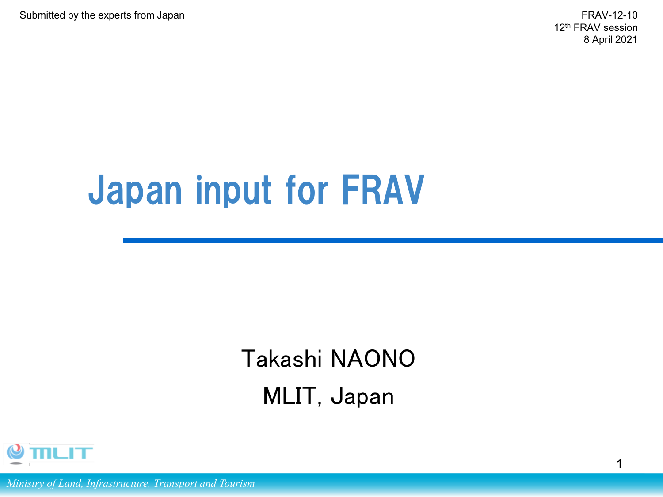Submitted by the experts from Japan

FRAV-12-10 12<sup>th</sup> FRAV session 8 April 2021

# Japan input for FRAV

# Takashi NAONO MLIT, Japan



*Ministry of Land, Infrastructure, Transport and Tourism*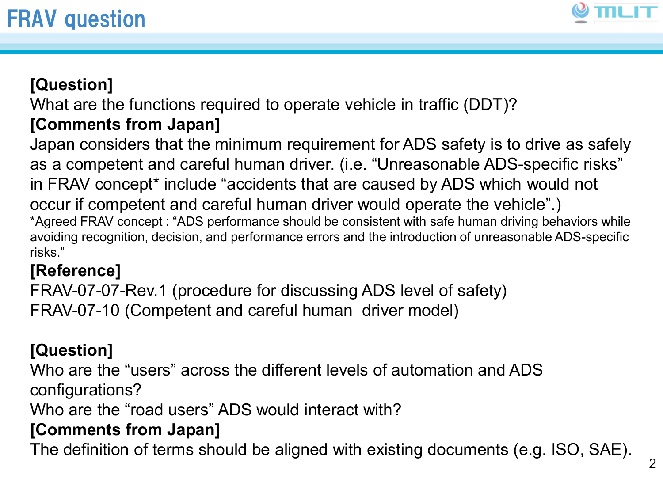

# **[Question]**

What are the functions required to operate vehicle in traffic (DDT)?

# **[Comments from Japan]**

Japan considers that the minimum requirement for ADS safety is to drive as safely as a competent and careful human driver. (i.e. "Unreasonable ADS-specific risks" in FRAV concept\* include "accidents that are caused by ADS which would not occur if competent and careful human driver would operate the vehicle".) \*Agreed FRAV concept : "ADS performance should be consistent with safe human driving behaviors while avoiding recognition, decision, and performance errors and the introduction of unreasonable ADS-specific risks."

#### **[Reference]**

FRAV-07-07-Rev.1 (procedure for discussing ADS level of safety) FRAV-07-10 (Competent and careful human driver model)

# **[Question]**

Who are the "users" across the different levels of automation and ADS configurations?

Who are the "road users" ADS would interact with?

# **[Comments from Japan]**

The definition of terms should be aligned with existing documents (e.g. ISO, SAE).